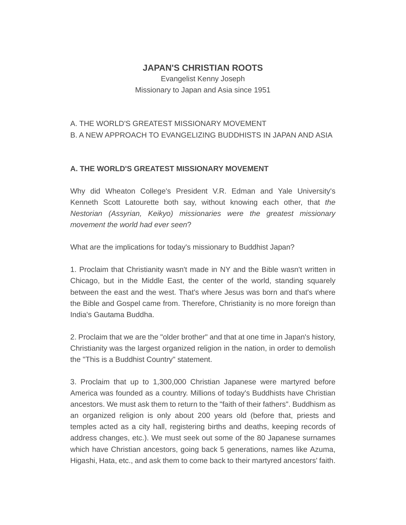## **JAPAN'S CHRISTIAN ROOTS**

Evangelist Kenny Joseph Missionary to Japan and Asia since 1951

## A. THE WORLD'S GREATEST MISSIONARY MOVEMENT B. A NEW APPROACH TO EVANGELIZING BUDDHISTS IN JAPAN AND ASIA

## **A. THE WORLD'S GREATEST MISSIONARY MOVEMENT**

Why did Wheaton College's President V.R. Edman and Yale University's Kenneth Scott Latourette both say, without knowing each other, that *the Nestorian (Assyrian, Keikyo) missionaries were the greatest missionary movement the world had ever seen*?

What are the implications for today's missionary to Buddhist Japan?

1. Proclaim that Christianity wasn't made in NY and the Bible wasn't written in Chicago, but in the Middle East, the center of the world, standing squarely between the east and the west. That's where Jesus was born and that's where the Bible and Gospel came from. Therefore, Christianity is no more foreign than India's Gautama Buddha.

2. Proclaim that we are the "older brother" and that at one time in Japan's history, Christianity was the largest organized religion in the nation, in order to demolish the "This is a Buddhist Country" statement.

3. Proclaim that up to 1,300,000 Christian Japanese were martyred before America was founded as a country. Millions of today's Buddhists have Christian ancestors. We must ask them to return to the "faith of their fathers". Buddhism as an organized religion is only about 200 years old (before that, priests and temples acted as a city hall, registering births and deaths, keeping records of address changes, etc.). We must seek out some of the 80 Japanese surnames which have Christian ancestors, going back 5 generations, names like Azuma, Higashi, Hata, etc., and ask them to come back to their martyred ancestors' faith.